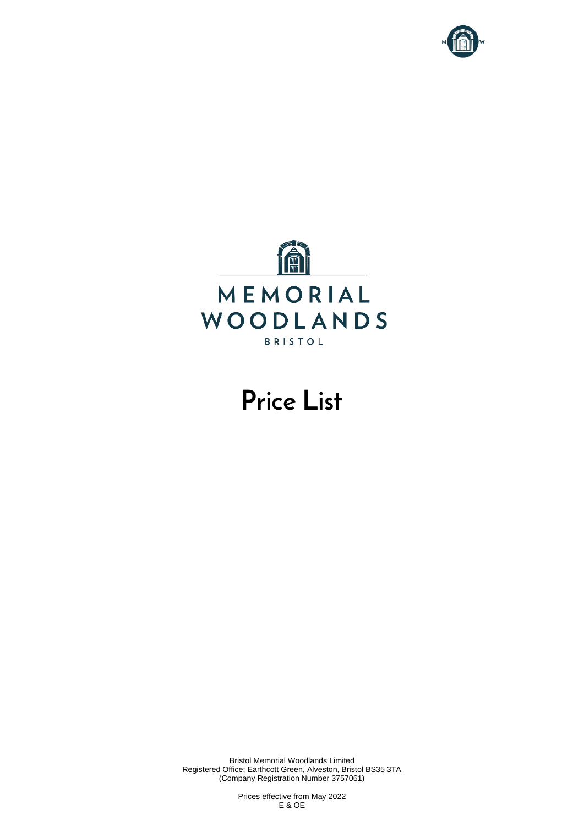



# **Price List**

Bristol Memorial Woodlands Limited Registered Office; Earthcott Green, Alveston, Bristol BS35 3TA (Company Registration Number 3757061)

> Prices effective from May 2022 E & OE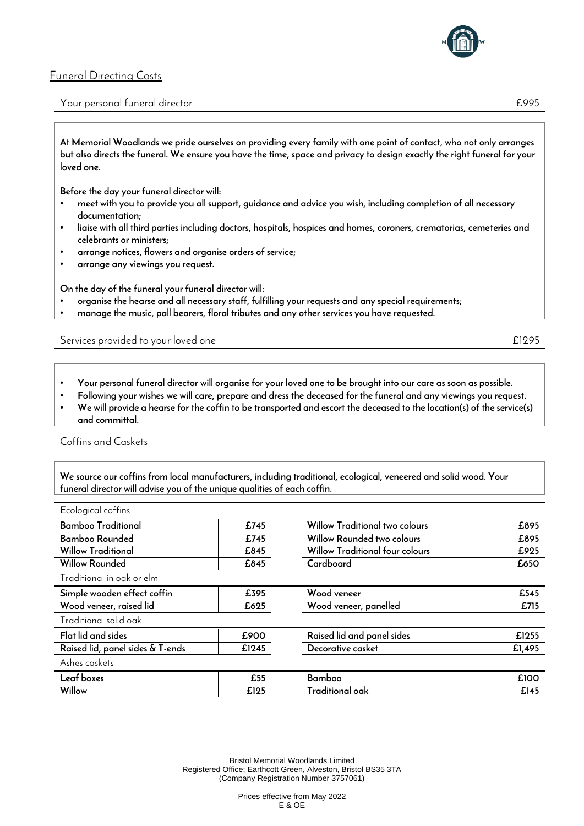

### **Funeral Directing Costs**

#### **Your personal funeral director £995**

**At Memorial Woodlands we pride ourselves on providing every family with one point of contact, who not only arranges but also directs the funeral. We ensure you have the time, space and privacy to design exactly the right funeral for your loved one.** 

**Before the day your funeral director will:**

- **meet with you to provide you all support, guidance and advice you wish, including completion of all necessary documentation;**
- **liaise with all third parties including doctors, hospitals, hospices and homes, coroners, crematorias, cemeteries and celebrants or ministers;**
- **arrange notices, flowers and organise orders of service;**
- **arrange any viewings you request.**

**On the day of the funeral your funeral director will:**

- **organise the hearse and all necessary staff, fulfilling your requests and any special requirements;**
- **manage the music, pall bearers, floral tributes and any other services you have requested.**

**Services provided to your loved one £1295**

- **Your personal funeral director will organise for your loved one to be brought into our care as soon as possible.**
- **Following your wishes we will care, prepare and dress the deceased for the funeral and any viewings you request.**
- **We will provide a hearse for the coffin to be transported and escort the deceased to the location(s) of the service(s) and committal.**

#### **Coffins and Caskets**

**We source our coffins from local manufacturers, including traditional, ecological, veneered and solid wood. Your funeral director will advise you of the unique qualities of each coffin.** 

| Ecological coffins               |       |                                       |        |
|----------------------------------|-------|---------------------------------------|--------|
| <b>Bamboo Traditional</b>        | £745  | <b>Willow Traditional two colours</b> | £895   |
| Bamboo Rounded                   | £745  | Willow Rounded two colours            | £895   |
| <b>Willow Traditional</b>        | £845  | Willow Traditional four colours       | £925   |
| <b>Willow Rounded</b>            | £845  | Cardboard                             | £650   |
| Traditional in oak or elm        |       |                                       |        |
| Simple wooden effect coffin      | £395  | Wood veneer                           | £545   |
| Wood veneer, raised lid          | £625  | Wood veneer, panelled                 | £715   |
| Traditional solid oak            |       |                                       |        |
| Flat lid and sides               | £900  | Raised lid and panel sides            | £1255  |
| Raised lid, panel sides & T-ends | £1245 | Decorative casket                     | £1,495 |
| Ashes caskets                    |       |                                       |        |
| Leaf boxes                       | £55   | Bamboo                                | £100   |
| Willow                           | £125  | Traditional oak                       | £145   |

Bristol Memorial Woodlands Limited Registered Office; Earthcott Green, Alveston, Bristol BS35 3TA (Company Registration Number 3757061)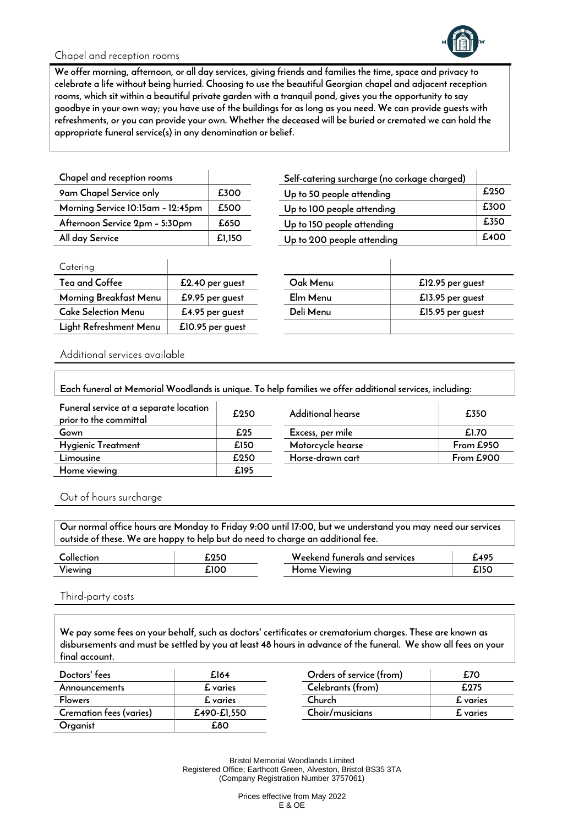

### **Chapel and reception rooms**

**We offer morning, afternoon, or all day services, giving friends and families the time, space and privacy to celebrate a life without being hurried. Choosing to use the beautiful Georgian chapel and adjacent reception rooms, which sit within a beautiful private garden with a tranquil pond, gives you the opportunity to say goodbye in your own way; you have use of the buildings for as long as you need. We can provide guests with refreshments, or you can provide your own. Whether the deceased will be buried or cremated we can hold the appropriate funeral service(s) in any denomination or belief.** 

| Chapel and reception rooms        |        |
|-----------------------------------|--------|
| 9am Chapel Service only           | £300   |
| Morning Service 10:15am - 12:45pm | £500   |
| Afternoon Service 2pm - 5:30pm    | £650   |
| All day Service                   | £1.150 |

| 9am Chapel Service only           | £300   | Up to 50 people attending  | £250 |
|-----------------------------------|--------|----------------------------|------|
| Morning Service 10:15am - 12:45pm | £500   | Up to 100 people attending | £300 |
| Afternoon Service 2pm - 5:30pm    | £650   | Up to 150 people attending | £350 |
| All day Service                   | £1.150 | Up to 200 people attending | £400 |
|                                   |        |                            |      |

 $\overline{1}$ 

**Chapel and reception rooms Self-catering surcharge (no corkage charged)**

| Catering               |                  |           |                  |
|------------------------|------------------|-----------|------------------|
| Tea and Coffee         | £2.40 per guest  | Oak Menu  | £12.95 per guest |
| Morning Breakfast Menu | £9.95 per guest  | Elm Menu  | £13.95 per guest |
| Cake Selection Menu    | £4.95 per guest  | Deli Menu | £15.95 per guest |
| Light Refreshment Menu | £10.95 per guest |           |                  |

| Oak Menu  | £12.95 per guest |
|-----------|------------------|
| Elm Menu  | £13.95 per guest |
| Deli Menu | £15.95 per guest |
|           |                  |

**Additional services available**

| Each funeral at Memorial Woodlands is unique. To help families we offer additional services, including: |      |                   |           |  |  |
|---------------------------------------------------------------------------------------------------------|------|-------------------|-----------|--|--|
| Funeral service at a separate location<br>prior to the committal                                        | £250 | Additional hearse | £350      |  |  |
| Gown                                                                                                    | £25  | Excess, per mile  | £1.70     |  |  |
| <b>Hygienic Treatment</b>                                                                               | £150 | Motorcycle hearse | From £950 |  |  |
| Limousine                                                                                               | £250 | Horse-drawn cart  | From £900 |  |  |
| Home viewing                                                                                            | £195 |                   |           |  |  |

**Out of hours surcharge**

**Our normal office hours are Monday to Friday 9:00 until 17:00, but we understand you may need our services outside of these. We are happy to help but do need to charge an additional fee.** 

| _ollection | £250 | Weekend funerals and services | £495 |
|------------|------|-------------------------------|------|
| Viewing    | £10C | Home Viewina                  | £15C |

**Third-party costs**

**We pay some fees on your behalf, such as doctors' certificates or crematorium charges. These are known as disbursements and must be settled by you at least 48 hours in advance of the funeral. We show all fees on your final account.** 

| Doctors' fees           | £164        | Orders of service (from) | £70             |
|-------------------------|-------------|--------------------------|-----------------|
| Announcements           | £ varies    | Celebrants (from)        | £275            |
| <b>Flowers</b>          | £ varies    | Church                   | <b>£</b> varies |
| Cremation fees (varies) | £490-£1.550 | Choir/musicians          | £ varies        |
| Organist                | £80         |                          |                 |

Bristol Memorial Woodlands Limited Registered Office; Earthcott Green, Alveston, Bristol BS35 3TA (Company Registration Number 3757061)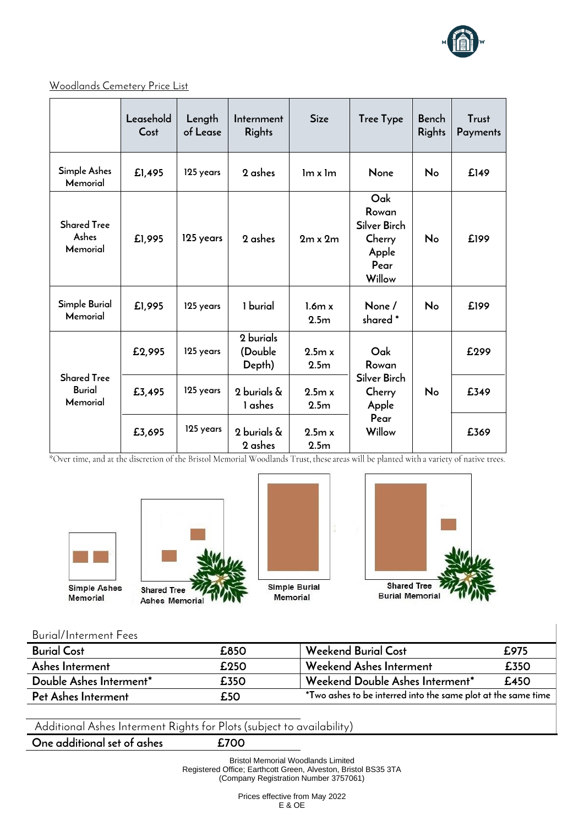

| Woodlands Cemetery Price List |
|-------------------------------|
|-------------------------------|

|                                                 | Leasehold<br>Cost | Length<br>of Lease | Internment<br><b>Rights</b>    | <b>Size</b>                | <b>Tree Type</b>                                                  | Bench<br>Rights | Trust<br>Payments |
|-------------------------------------------------|-------------------|--------------------|--------------------------------|----------------------------|-------------------------------------------------------------------|-----------------|-------------------|
| <b>Simple Ashes</b><br>Memorial                 | £1,495            | 125 years          | 2 ashes                        | Im x Im                    | None                                                              | No              | £149              |
| <b>Shared Tree</b><br>Ashes<br>Memorial         | £1,995            | 125 years          | 2 ashes                        | $2m \times 2m$             | Oak<br>Rowan<br>Silver Birch<br>Cherry<br>Apple<br>Pear<br>Willow | No              | £199              |
| Simple Burial<br>Memorial                       | £1,995            | 125 years          | 1 burial                       | 1.6m x<br>2.5 <sub>m</sub> | None /<br>shared *                                                | No              | £199              |
|                                                 | £2,995            | 125 years          | 2 burials<br>(Double<br>Depth) | 2.5m x<br>2.5 <sub>m</sub> | Oak<br>Rowan                                                      |                 | £299              |
| <b>Shared Tree</b><br><b>Burial</b><br>Memorial | £3,495            | 125 years          | 2 burials &<br>1 ashes         | 9.5m x<br>2.5 <sub>m</sub> | Silver Birch<br>Cherry<br>Apple                                   | No              | £349              |
|                                                 | £3,695            | 125 years          | 2 burials &<br>2 ashes         | 2.5m x<br>2.5 <sub>m</sub> | Pear<br>Willow                                                    |                 | £369              |

\*Over time, and at the discretion of the Bristol Memorial Woodlands Trust, these areas will be planted with a variety of native trees.









### **Burial/Interment Fees**

| <b>Burial Cost</b>      | £850 | <b>Weekend Burial Cost</b>                                                    | £975 |
|-------------------------|------|-------------------------------------------------------------------------------|------|
| Ashes Interment         | £250 | Weekend Ashes Interment                                                       | £350 |
| Double Ashes Interment* | £350 | Weekend Double Ashes Interment*                                               | £450 |
| Pet Ashes Interment     | £50  | $^*$ Two ashes to be interred into the same plot at the same time $\parallel$ |      |

**Additional Ashes Interment Rights for Plots (subject to availability)**

**One additional set of ashes £700**

Bristol Memorial Woodlands Limited Registered Office; Earthcott Green, Alveston, Bristol BS35 3TA (Company Registration Number 3757061)